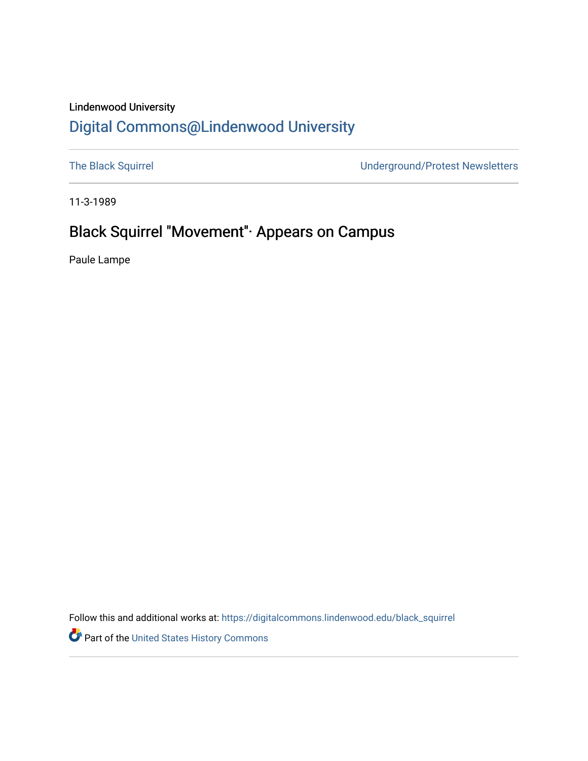#### Lindenwood University

### [Digital Commons@Lindenwood University](https://digitalcommons.lindenwood.edu/)

[The Black Squirrel](https://digitalcommons.lindenwood.edu/black_squirrel) **The Black Squirrel Underground/Protest Newsletters** 

11-3-1989

### Black Squirrel "Movement''· Appears on Campus

Paule Lampe

Follow this and additional works at: [https://digitalcommons.lindenwood.edu/black\\_squirrel](https://digitalcommons.lindenwood.edu/black_squirrel?utm_source=digitalcommons.lindenwood.edu%2Fblack_squirrel%2F1&utm_medium=PDF&utm_campaign=PDFCoverPages)

Part of the [United States History Commons](http://network.bepress.com/hgg/discipline/495?utm_source=digitalcommons.lindenwood.edu%2Fblack_squirrel%2F1&utm_medium=PDF&utm_campaign=PDFCoverPages)